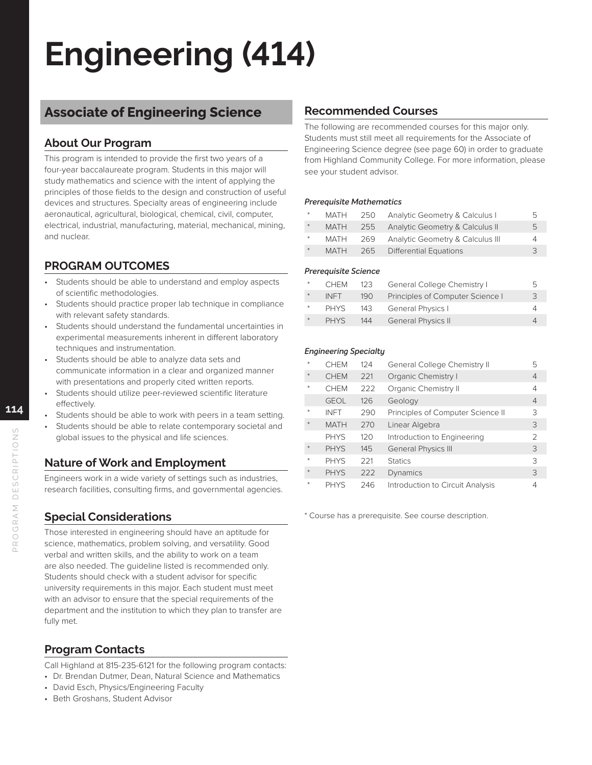# **Engineering (414)**

## **Associate of Engineering Science**

## **About Our Program**

This program is intended to provide the first two years of a four-year baccalaureate program. Students in this major will study mathematics and science with the intent of applying the principles of those fields to the design and construction of useful devices and structures. Specialty areas of engineering include aeronautical, agricultural, biological, chemical, civil, computer, electrical, industrial, manufacturing, material, mechanical, mining, and nuclear.

## **PROGRAM OUTCOMES**

- Students should be able to understand and employ aspects of scientific methodologies.
- Students should practice proper lab technique in compliance with relevant safety standards.
- Students should understand the fundamental uncertainties in experimental measurements inherent in different laboratory techniques and instrumentation.
- Students should be able to analyze data sets and communicate information in a clear and organized manner with presentations and properly cited written reports.
- Students should utilize peer-reviewed scientific literature effectively.
- Students should be able to work with peers in a team setting.
- Students should be able to relate contemporary societal and global issues to the physical and life sciences.

## **Nature of Work and Employment**

Engineers work in a wide variety of settings such as industries, research facilities, consulting firms, and governmental agencies.

## **Special Considerations**

Those interested in engineering should have an aptitude for science, mathematics, problem solving, and versatility. Good verbal and written skills, and the ability to work on a team are also needed. The guideline listed is recommended only. Students should check with a student advisor for specific university requirements in this major. Each student must meet with an advisor to ensure that the special requirements of the department and the institution to which they plan to transfer are fully met.

## **Program Contacts**

Call Highland at 815-235-6121 for the following program contacts:

- Dr. Brendan Dutmer, Dean, Natural Science and Mathematics
- David Esch, Physics/Engineering Faculty
- Beth Groshans, Student Advisor

### **Recommended Courses**

The following are recommended courses for this major only. Students must still meet all requirements for the Associate of Engineering Science degree (see page 60) in order to graduate from Highland Community College. For more information, please see your student advisor.

### *Prerequisite Mathematics*

| $*$ | MATH        | 250 | Analytic Geometry & Calculus I   | b.           |
|-----|-------------|-----|----------------------------------|--------------|
| $*$ | <b>MATH</b> | 255 | Analytic Geometry & Calculus II  | $\mathbf{b}$ |
| $*$ | MATH        | 269 | Analytic Geometry & Calculus III | Δ            |
| $*$ | <b>MATH</b> |     | 265 Differential Equations       | 3            |

### *Prerequisite Science*

| $*$ | <b>CHEM</b> | 123 | General College Chemistry I      | 5. |
|-----|-------------|-----|----------------------------------|----|
| $*$ | <b>INFT</b> | 190 | Principles of Computer Science I | 3  |
|     | <b>PHYS</b> | 143 | <b>General Physics I</b>         |    |
|     | <b>PHYS</b> | 144 | <b>General Physics II</b>        |    |

### *Engineering Specialty*

| $\ast$ | <b>CHEM</b> | 124 | General College Chemistry II      | 5 |
|--------|-------------|-----|-----------------------------------|---|
| $*$    | <b>CHEM</b> | 221 | Organic Chemistry I               | 4 |
|        | <b>CHEM</b> | 222 | Organic Chemistry II              | 4 |
|        | <b>GEOL</b> | 126 | Geology                           | 4 |
| $*$    | <b>INFT</b> | 290 | Principles of Computer Science II | 3 |
|        | <b>MATH</b> | 270 | Linear Algebra                    | 3 |
|        | <b>PHYS</b> | 120 | Introduction to Engineering       | 2 |
|        | <b>PHYS</b> | 145 | <b>General Physics III</b>        | 3 |
| $\ast$ | <b>PHYS</b> | 221 | <b>Statics</b>                    | 3 |
| $\ast$ | <b>PHYS</b> | 222 | Dynamics                          | 3 |
| $\ast$ | <b>PHYS</b> | 246 | Introduction to Circuit Analysis  | 4 |

\* Course has a prerequisite. See course description.

**114**